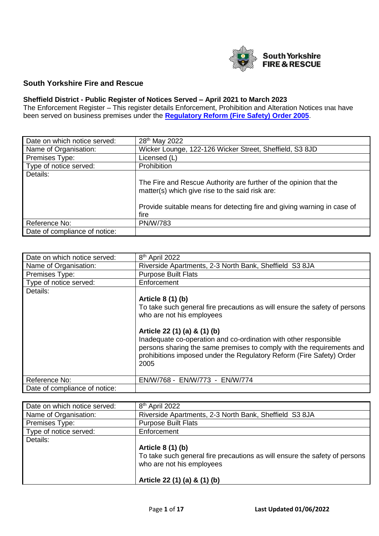

## **South Yorkshire Fire and Rescue**

## **Sheffield District - Public Register of Notices Served – April 2021 to March 2023**

The Enforcement Register – This register details Enforcement, Prohibition and Alteration Notices that have been served on business premises under the **[Regulatory Reform \(Fire Safety\)](http://www.legislation.gov.uk/uksi/2005/1541/contents/made) Order 2005**.

| Date on which notice served:  | 28 <sup>th</sup> May 2022                                                                                            |
|-------------------------------|----------------------------------------------------------------------------------------------------------------------|
| Name of Organisation:         | Wicker Lounge, 122-126 Wicker Street, Sheffield, S3 8JD                                                              |
| Premises Type:                | Licensed (L)                                                                                                         |
| Type of notice served:        | <b>Prohibition</b>                                                                                                   |
| Details:                      |                                                                                                                      |
|                               | The Fire and Rescue Authority are further of the opinion that the<br>matter(s) which give rise to the said risk are: |
|                               | Provide suitable means for detecting fire and giving warning in case of<br>fire                                      |
| Reference No:                 | <b>PN/W/783</b>                                                                                                      |
| Date of compliance of notice: |                                                                                                                      |

| Date on which notice served:  | 8 <sup>th</sup> April 2022                                                                                                                                                                                                                                                                                                                                                                |
|-------------------------------|-------------------------------------------------------------------------------------------------------------------------------------------------------------------------------------------------------------------------------------------------------------------------------------------------------------------------------------------------------------------------------------------|
| Name of Organisation:         | Riverside Apartments, 2-3 North Bank, Sheffield S3 8JA                                                                                                                                                                                                                                                                                                                                    |
| Premises Type:                | <b>Purpose Built Flats</b>                                                                                                                                                                                                                                                                                                                                                                |
| Type of notice served:        | Enforcement                                                                                                                                                                                                                                                                                                                                                                               |
| Details:                      | Article 8 (1) (b)<br>To take such general fire precautions as will ensure the safety of persons<br>who are not his employees<br>Article 22 (1) (a) & (1) (b)<br>Inadequate co-operation and co-ordination with other responsible<br>persons sharing the same premises to comply with the requirements and<br>prohibitions imposed under the Regulatory Reform (Fire Safety) Order<br>2005 |
| Reference No:                 | EN/W/768 - EN/W/773 - EN/W/774                                                                                                                                                                                                                                                                                                                                                            |
| Date of compliance of notice: |                                                                                                                                                                                                                                                                                                                                                                                           |

| Date on which notice served: | 8 <sup>th</sup> April 2022                                                 |
|------------------------------|----------------------------------------------------------------------------|
| Name of Organisation:        | Riverside Apartments, 2-3 North Bank, Sheffield S3 8JA                     |
| Premises Type:               | <b>Purpose Built Flats</b>                                                 |
| Type of notice served:       | Enforcement                                                                |
| Details:                     |                                                                            |
|                              | Article 8 (1) (b)                                                          |
|                              | To take such general fire precautions as will ensure the safety of persons |
|                              | who are not his employees                                                  |
|                              |                                                                            |
|                              | Article 22 (1) (a) & (1) (b)                                               |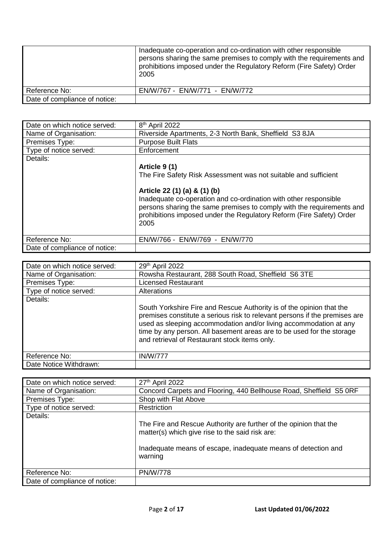|                               | Inadequate co-operation and co-ordination with other responsible<br>persons sharing the same premises to comply with the requirements and<br>prohibitions imposed under the Regulatory Reform (Fire Safety) Order<br>2005 |
|-------------------------------|---------------------------------------------------------------------------------------------------------------------------------------------------------------------------------------------------------------------------|
| Reference No:                 | EN/W/767 - EN/W/771 - EN/W/772                                                                                                                                                                                            |
| Date of compliance of notice: |                                                                                                                                                                                                                           |

| Date on which notice served:  | 8 <sup>th</sup> April 2022                                                                                                                                                                                                                                |
|-------------------------------|-----------------------------------------------------------------------------------------------------------------------------------------------------------------------------------------------------------------------------------------------------------|
| Name of Organisation:         | Riverside Apartments, 2-3 North Bank, Sheffield S3 8JA                                                                                                                                                                                                    |
| Premises Type:                | <b>Purpose Built Flats</b>                                                                                                                                                                                                                                |
| Type of notice served:        | Enforcement                                                                                                                                                                                                                                               |
| Details:                      |                                                                                                                                                                                                                                                           |
|                               | Article 9 (1)                                                                                                                                                                                                                                             |
|                               | The Fire Safety Risk Assessment was not suitable and sufficient                                                                                                                                                                                           |
|                               | Article 22 (1) (a) & (1) (b)<br>Inadequate co-operation and co-ordination with other responsible<br>persons sharing the same premises to comply with the requirements and<br>prohibitions imposed under the Regulatory Reform (Fire Safety) Order<br>2005 |
| Reference No:                 | EN/W/766 - EN/W/769 - EN/W/770                                                                                                                                                                                                                            |
| Date of compliance of notice: |                                                                                                                                                                                                                                                           |

| Date on which notice served: | 29th April 2022                                                                                                                                                                                                                                                                                                                                   |
|------------------------------|---------------------------------------------------------------------------------------------------------------------------------------------------------------------------------------------------------------------------------------------------------------------------------------------------------------------------------------------------|
| Name of Organisation:        | Rowsha Restaurant, 288 South Road, Sheffield S6 3TE                                                                                                                                                                                                                                                                                               |
| Premises Type:               | <b>Licensed Restaurant</b>                                                                                                                                                                                                                                                                                                                        |
| Type of notice served:       | Alterations                                                                                                                                                                                                                                                                                                                                       |
| Details:                     | South Yorkshire Fire and Rescue Authority is of the opinion that the<br>premises constitute a serious risk to relevant persons if the premises are<br>used as sleeping accommodation and/or living accommodation at any<br>time by any person. All basement areas are to be used for the storage<br>and retrieval of Restaurant stock items only. |
| Reference No:                | <b>IN/W/777</b>                                                                                                                                                                                                                                                                                                                                   |
| Date Notice Withdrawn:       |                                                                                                                                                                                                                                                                                                                                                   |

| Date on which notice served:  | 27th April 2022                                                                                                                                                                                  |
|-------------------------------|--------------------------------------------------------------------------------------------------------------------------------------------------------------------------------------------------|
| Name of Organisation:         | Concord Carpets and Flooring, 440 Bellhouse Road, Sheffield S5 ORF                                                                                                                               |
| Premises Type:                | Shop with Flat Above                                                                                                                                                                             |
| Type of notice served:        | Restriction                                                                                                                                                                                      |
| Details:                      | The Fire and Rescue Authority are further of the opinion that the<br>matter(s) which give rise to the said risk are:<br>Inadequate means of escape, inadequate means of detection and<br>warning |
| Reference No:                 | <b>PN/W/778</b>                                                                                                                                                                                  |
| Date of compliance of notice: |                                                                                                                                                                                                  |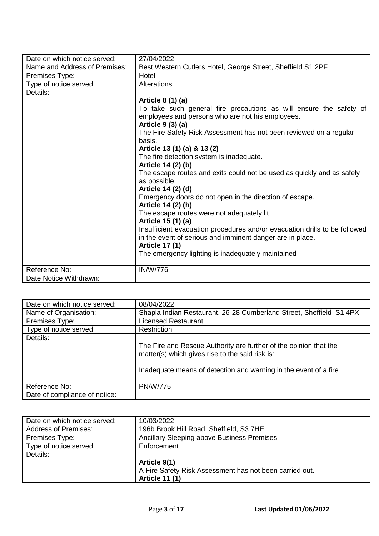| Date on which notice served:  | 27/04/2022                                                                                                             |
|-------------------------------|------------------------------------------------------------------------------------------------------------------------|
| Name and Address of Premises: | Best Western Cutlers Hotel, George Street, Sheffield S1 2PF                                                            |
| Premises Type:                | Hotel                                                                                                                  |
| Type of notice served:        | <b>Alterations</b>                                                                                                     |
| Details:                      |                                                                                                                        |
|                               | Article 8 (1) (a)                                                                                                      |
|                               | To take such general fire precautions as will ensure the safety of<br>employees and persons who are not his employees. |
|                               | Article 9 (3) (a)                                                                                                      |
|                               | The Fire Safety Risk Assessment has not been reviewed on a regular                                                     |
|                               | basis.                                                                                                                 |
|                               | Article 13 (1) (a) & 13 (2)                                                                                            |
|                               | The fire detection system is inadequate.                                                                               |
|                               | Article 14 (2) (b)                                                                                                     |
|                               | The escape routes and exits could not be used as quickly and as safely<br>as possible.                                 |
|                               | Article 14 (2) (d)                                                                                                     |
|                               | Emergency doors do not open in the direction of escape.<br>Article 14 (2) (h)                                          |
|                               | The escape routes were not adequately lit                                                                              |
|                               | Article 15 (1) (a)                                                                                                     |
|                               | Insufficient evacuation procedures and/or evacuation drills to be followed                                             |
|                               | in the event of serious and imminent danger are in place.                                                              |
|                               | <b>Article 17 (1)</b>                                                                                                  |
|                               | The emergency lighting is inadequately maintained                                                                      |
|                               |                                                                                                                        |
| Reference No:                 | <b>IN/W/776</b>                                                                                                        |
| Date Notice Withdrawn:        |                                                                                                                        |

| Date on which notice served:  | 08/04/2022                                                                                                           |
|-------------------------------|----------------------------------------------------------------------------------------------------------------------|
| Name of Organisation:         | Shapla Indian Restaurant, 26-28 Cumberland Street, Sheffield S1 4PX                                                  |
| Premises Type:                | <b>Licensed Restaurant</b>                                                                                           |
| Type of notice served:        | Restriction                                                                                                          |
| Details:                      |                                                                                                                      |
|                               | The Fire and Rescue Authority are further of the opinion that the<br>matter(s) which gives rise to the said risk is: |
|                               | Inadequate means of detection and warning in the event of a fire                                                     |
| Reference No:                 | <b>PN/W/775</b>                                                                                                      |
| Date of compliance of notice: |                                                                                                                      |

| Date on which notice served: | 10/03/2022                                              |
|------------------------------|---------------------------------------------------------|
| <b>Address of Premises:</b>  | 196b Brook Hill Road, Sheffield, S3 7HE                 |
| Premises Type:               | Ancillary Sleeping above Business Premises              |
| Type of notice served:       | Enforcement                                             |
| Details:                     |                                                         |
|                              | Article 9(1)                                            |
|                              | A Fire Safety Risk Assessment has not been carried out. |
|                              | <b>Article 11 (1)</b>                                   |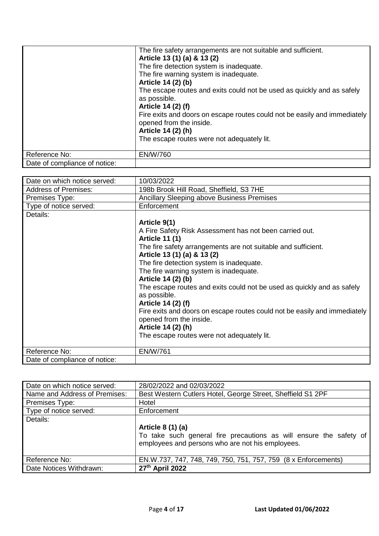|                               | The fire safety arrangements are not suitable and sufficient.                                        |
|-------------------------------|------------------------------------------------------------------------------------------------------|
|                               | Article 13 (1) (a) & 13 (2)                                                                          |
|                               | The fire detection system is inadequate.                                                             |
|                               | The fire warning system is inadequate.                                                               |
|                               | Article 14 (2) (b)                                                                                   |
|                               | The escape routes and exits could not be used as quickly and as safely                               |
|                               | as possible.                                                                                         |
|                               | Article 14 (2) (f)                                                                                   |
|                               | Fire exits and doors on escape routes could not be easily and immediately<br>opened from the inside. |
|                               | Article 14 (2) (h)                                                                                   |
|                               | The escape routes were not adequately lit.                                                           |
|                               |                                                                                                      |
| Reference No:                 | <b>EN/W/760</b>                                                                                      |
| Date of compliance of notice: |                                                                                                      |

| Date on which notice served:  | 10/03/2022                                                                |
|-------------------------------|---------------------------------------------------------------------------|
| <b>Address of Premises:</b>   | 198b Brook Hill Road, Sheffield, S3 7HE                                   |
| Premises Type:                | <b>Ancillary Sleeping above Business Premises</b>                         |
| Type of notice served:        | Enforcement                                                               |
| Details:                      |                                                                           |
|                               | Article 9(1)                                                              |
|                               | A Fire Safety Risk Assessment has not been carried out.                   |
|                               | <b>Article 11 (1)</b>                                                     |
|                               | The fire safety arrangements are not suitable and sufficient.             |
|                               | Article 13 (1) (a) & 13 (2)                                               |
|                               | The fire detection system is inadequate.                                  |
|                               | The fire warning system is inadequate.                                    |
|                               | Article 14 (2) (b)                                                        |
|                               | The escape routes and exits could not be used as quickly and as safely    |
|                               | as possible.                                                              |
|                               | Article 14 (2) (f)                                                        |
|                               | Fire exits and doors on escape routes could not be easily and immediately |
|                               | opened from the inside.                                                   |
|                               | Article 14 (2) (h)                                                        |
|                               | The escape routes were not adequately lit.                                |
|                               |                                                                           |
| Reference No:                 | <b>EN/W/761</b>                                                           |
| Date of compliance of notice: |                                                                           |

| Date on which notice served:  | 28/02/2022 and 02/03/2022                                                                                                                   |
|-------------------------------|---------------------------------------------------------------------------------------------------------------------------------------------|
| Name and Address of Premises: | Best Western Cutlers Hotel, George Street, Sheffield S1 2PF                                                                                 |
| Premises Type:                | Hotel                                                                                                                                       |
| Type of notice served:        | Enforcement                                                                                                                                 |
| Details:                      | Article 8 (1) (a)<br>To take such general fire precautions as will ensure the safety of<br>employees and persons who are not his employees. |
| Reference No:                 | EN.W.737, 747, 748, 749, 750, 751, 757, 759 (8 x Enforcements)                                                                              |
| Date Notices Withdrawn:       | 27th April 2022                                                                                                                             |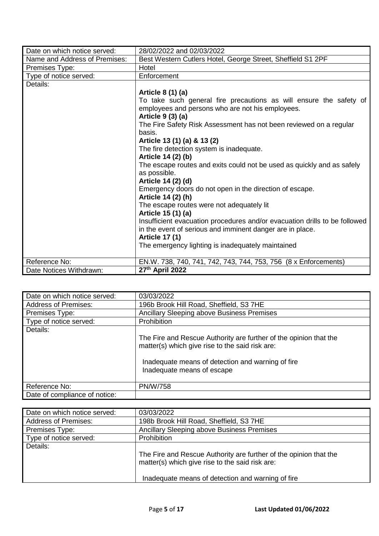| Date on which notice served:  | 28/02/2022 and 02/03/2022                                                              |
|-------------------------------|----------------------------------------------------------------------------------------|
| Name and Address of Premises: | Best Western Cutlers Hotel, George Street, Sheffield S1 2PF                            |
| Premises Type:                | Hotel                                                                                  |
| Type of notice served:        | Enforcement                                                                            |
| Details:                      |                                                                                        |
|                               | Article 8 (1) (a)                                                                      |
|                               | To take such general fire precautions as will ensure the safety of                     |
|                               | employees and persons who are not his employees.                                       |
|                               | Article 9 (3) (a)                                                                      |
|                               | The Fire Safety Risk Assessment has not been reviewed on a regular                     |
|                               | basis.                                                                                 |
|                               | Article 13 (1) (a) & 13 (2)                                                            |
|                               | The fire detection system is inadequate.                                               |
|                               | Article 14 (2) (b)                                                                     |
|                               |                                                                                        |
|                               | The escape routes and exits could not be used as quickly and as safely<br>as possible. |
|                               | Article 14 (2) (d)                                                                     |
|                               |                                                                                        |
|                               | Emergency doors do not open in the direction of escape.<br>Article 14 (2) (h)          |
|                               | The escape routes were not adequately lit                                              |
|                               | Article 15 (1) (a)                                                                     |
|                               |                                                                                        |
|                               | Insufficient evacuation procedures and/or evacuation drills to be followed             |
|                               | in the event of serious and imminent danger are in place.                              |
|                               | <b>Article 17 (1)</b>                                                                  |
|                               | The emergency lighting is inadequately maintained                                      |
|                               |                                                                                        |
| Reference No:                 | EN.W. 738, 740, 741, 742, 743, 744, 753, 756 (8 x Enforcements)                        |
| Date Notices Withdrawn:       | 27th April 2022                                                                        |

| Date on which notice served:  | 03/03/2022                                                                                                                                                                                              |
|-------------------------------|---------------------------------------------------------------------------------------------------------------------------------------------------------------------------------------------------------|
| <b>Address of Premises:</b>   | 196b Brook Hill Road, Sheffield, S3 7HE                                                                                                                                                                 |
| Premises Type:                | Ancillary Sleeping above Business Premises                                                                                                                                                              |
| Type of notice served:        | Prohibition                                                                                                                                                                                             |
| Details:                      | The Fire and Rescue Authority are further of the opinion that the<br>matter(s) which give rise to the said risk are:<br>Inadequate means of detection and warning of fire<br>Inadequate means of escape |
| Reference No:                 | <b>PN/W/758</b>                                                                                                                                                                                         |
| Date of compliance of notice: |                                                                                                                                                                                                         |

| Date on which notice served: | 03/03/2022                                                                                                           |
|------------------------------|----------------------------------------------------------------------------------------------------------------------|
| <b>Address of Premises:</b>  | 198b Brook Hill Road, Sheffield, S3 7HE                                                                              |
| Premises Type:               | Ancillary Sleeping above Business Premises                                                                           |
| Type of notice served:       | Prohibition                                                                                                          |
| Details:                     | The Fire and Rescue Authority are further of the opinion that the<br>matter(s) which give rise to the said risk are: |
|                              | Inadequate means of detection and warning of fire                                                                    |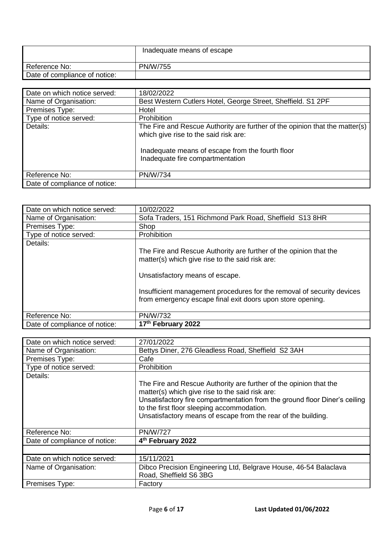|                               | Inadequate means of escape |
|-------------------------------|----------------------------|
| Reference No:                 | <b>PN/W/755</b>            |
| Date of compliance of notice: |                            |

| Date on which notice served:  | 18/02/2022                                                                                                                                                                                                   |
|-------------------------------|--------------------------------------------------------------------------------------------------------------------------------------------------------------------------------------------------------------|
| Name of Organisation:         | Best Western Cutlers Hotel, George Street, Sheffield. S1 2PF                                                                                                                                                 |
| Premises Type:                | Hotel                                                                                                                                                                                                        |
| Type of notice served:        | Prohibition                                                                                                                                                                                                  |
| Details:                      | The Fire and Rescue Authority are further of the opinion that the matter(s)<br>which give rise to the said risk are:<br>Inadequate means of escape from the fourth floor<br>Inadequate fire compartmentation |
| Reference No:                 | <b>PN/W/734</b>                                                                                                                                                                                              |
| Date of compliance of notice: |                                                                                                                                                                                                              |

| Date on which notice served:  | 10/02/2022                                                                                                                                                                                                                                                                                      |
|-------------------------------|-------------------------------------------------------------------------------------------------------------------------------------------------------------------------------------------------------------------------------------------------------------------------------------------------|
| Name of Organisation:         | Sofa Traders, 151 Richmond Park Road, Sheffield S13 8HR                                                                                                                                                                                                                                         |
| Premises Type:                | Shop                                                                                                                                                                                                                                                                                            |
| Type of notice served:        | Prohibition                                                                                                                                                                                                                                                                                     |
| Details:                      | The Fire and Rescue Authority are further of the opinion that the<br>matter(s) which give rise to the said risk are:<br>Unsatisfactory means of escape.<br>Insufficient management procedures for the removal of security devices<br>from emergency escape final exit doors upon store opening. |
| Reference No:                 | <b>PN/W/732</b>                                                                                                                                                                                                                                                                                 |
| Date of compliance of notice: | 17th February 2022                                                                                                                                                                                                                                                                              |

| Date on which notice served:  | 27/01/2022                                                                                                                                                                                                                                                                                                        |
|-------------------------------|-------------------------------------------------------------------------------------------------------------------------------------------------------------------------------------------------------------------------------------------------------------------------------------------------------------------|
| Name of Organisation:         | Bettys Diner, 276 Gleadless Road, Sheffield S2 3AH                                                                                                                                                                                                                                                                |
| Premises Type:                | Cafe                                                                                                                                                                                                                                                                                                              |
| Type of notice served:        | Prohibition                                                                                                                                                                                                                                                                                                       |
| Details:                      | The Fire and Rescue Authority are further of the opinion that the<br>matter(s) which give rise to the said risk are:<br>Unsatisfactory fire compartmentation from the ground floor Diner's ceiling<br>to the first floor sleeping accommodation.<br>Unsatisfactory means of escape from the rear of the building. |
| Reference No:                 | <b>PN/W/727</b>                                                                                                                                                                                                                                                                                                   |
| Date of compliance of notice: | 4th February 2022                                                                                                                                                                                                                                                                                                 |
|                               |                                                                                                                                                                                                                                                                                                                   |
| Date on which notice served:  | 15/11/2021                                                                                                                                                                                                                                                                                                        |
| Name of Organisation:         | Dibco Precision Engineering Ltd, Belgrave House, 46-54 Balaclava<br>Road, Sheffield S6 3BG                                                                                                                                                                                                                        |
| Premises Type:                | Factory                                                                                                                                                                                                                                                                                                           |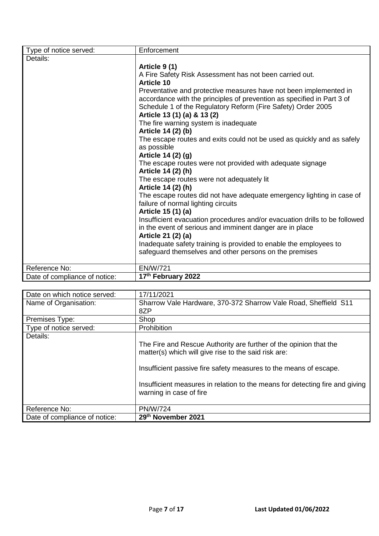| Type of notice served:        | Enforcement                                                                |
|-------------------------------|----------------------------------------------------------------------------|
| Details:                      |                                                                            |
|                               | Article 9 (1)                                                              |
|                               | A Fire Safety Risk Assessment has not been carried out.                    |
|                               | <b>Article 10</b>                                                          |
|                               | Preventative and protective measures have not been implemented in          |
|                               | accordance with the principles of prevention as specified in Part 3 of     |
|                               | Schedule 1 of the Regulatory Reform (Fire Safety) Order 2005               |
|                               | Article 13 (1) (a) & 13 (2)                                                |
|                               | The fire warning system is inadequate                                      |
|                               | Article 14 (2) (b)                                                         |
|                               | The escape routes and exits could not be used as quickly and as safely     |
|                               | as possible                                                                |
|                               | Article 14 (2) (g)                                                         |
|                               | The escape routes were not provided with adequate signage                  |
|                               | Article 14 (2) (h)                                                         |
|                               | The escape routes were not adequately lit                                  |
|                               | Article 14 (2) (h)                                                         |
|                               | The escape routes did not have adequate emergency lighting in case of      |
|                               | failure of normal lighting circuits                                        |
|                               | Article 15 (1) (a)                                                         |
|                               | Insufficient evacuation procedures and/or evacuation drills to be followed |
|                               | in the event of serious and imminent danger are in place                   |
|                               | Article 21 (2) (a)                                                         |
|                               | Inadequate safety training is provided to enable the employees to          |
|                               | safeguard themselves and other persons on the premises                     |
|                               |                                                                            |
| Reference No:                 | <b>EN/W/721</b>                                                            |
| Date of compliance of notice: | 17th February 2022                                                         |

| Date on which notice served:  | 17/11/2021                                                                   |
|-------------------------------|------------------------------------------------------------------------------|
| Name of Organisation:         | Sharrow Vale Hardware, 370-372 Sharrow Vale Road, Sheffield S11              |
|                               | 8ZP                                                                          |
| Premises Type:                | Shop                                                                         |
| Type of notice served:        | Prohibition                                                                  |
| Details:                      |                                                                              |
|                               | The Fire and Rescue Authority are further of the opinion that the            |
|                               | matter(s) which will give rise to the said risk are:                         |
|                               |                                                                              |
|                               | Insufficient passive fire safety measures to the means of escape.            |
|                               |                                                                              |
|                               | Insufficient measures in relation to the means for detecting fire and giving |
|                               | warning in case of fire                                                      |
|                               |                                                                              |
| Reference No:                 | <b>PN/W/724</b>                                                              |
| Date of compliance of notice: | 29th November 2021                                                           |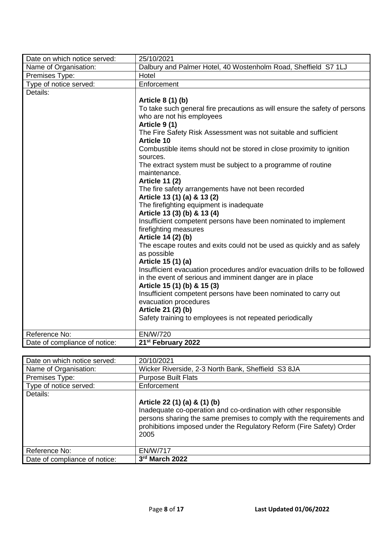| Date on which notice served:  | 25/10/2021                                                                 |
|-------------------------------|----------------------------------------------------------------------------|
| Name of Organisation:         | Dalbury and Palmer Hotel, 40 Wostenholm Road, Sheffield S7 1LJ             |
| Premises Type:                | Hotel                                                                      |
| Type of notice served:        | Enforcement                                                                |
| Details:                      |                                                                            |
|                               | Article 8 (1) (b)                                                          |
|                               | To take such general fire precautions as will ensure the safety of persons |
|                               | who are not his employees                                                  |
|                               | Article 9 (1)                                                              |
|                               | The Fire Safety Risk Assessment was not suitable and sufficient            |
|                               | <b>Article 10</b>                                                          |
|                               | Combustible items should not be stored in close proximity to ignition      |
|                               | sources.<br>The extract system must be subject to a programme of routine   |
|                               | maintenance.                                                               |
|                               | <b>Article 11 (2)</b>                                                      |
|                               | The fire safety arrangements have not been recorded                        |
|                               | Article 13 (1) (a) & 13 (2)                                                |
|                               | The firefighting equipment is inadequate                                   |
|                               | Article 13 (3) (b) & 13 (4)                                                |
|                               | Insufficient competent persons have been nominated to implement            |
|                               | firefighting measures                                                      |
|                               | Article 14 (2) (b)                                                         |
|                               | The escape routes and exits could not be used as quickly and as safely     |
|                               | as possible                                                                |
|                               | Article 15 (1) (a)                                                         |
|                               | Insufficient evacuation procedures and/or evacuation drills to be followed |
|                               | in the event of serious and imminent danger are in place                   |
|                               | Article 15 (1) (b) & 15 (3)                                                |
|                               | Insufficient competent persons have been nominated to carry out            |
|                               | evacuation procedures                                                      |
|                               | Article 21 (2) (b)                                                         |
|                               | Safety training to employees is not repeated periodically                  |
| Reference No:                 | EN/W/720                                                                   |
| Date of compliance of notice: | 21 <sup>st</sup> February 2022                                             |

| Date on which notice served:<br>Name of Organisation: | 20/10/2021<br>Wicker Riverside, 2-3 North Bank, Sheffield S3 8JA                                                                                                                                                                                          |
|-------------------------------------------------------|-----------------------------------------------------------------------------------------------------------------------------------------------------------------------------------------------------------------------------------------------------------|
| Premises Type:                                        | <b>Purpose Built Flats</b>                                                                                                                                                                                                                                |
| Type of notice served:                                | Enforcement                                                                                                                                                                                                                                               |
| Details:                                              | Article 22 (1) (a) & (1) (b)<br>Inadequate co-operation and co-ordination with other responsible<br>persons sharing the same premises to comply with the requirements and<br>prohibitions imposed under the Regulatory Reform (Fire Safety) Order<br>2005 |
| Reference No:                                         | <b>EN/W/717</b>                                                                                                                                                                                                                                           |
| Date of compliance of notice:                         | 3rd March 2022                                                                                                                                                                                                                                            |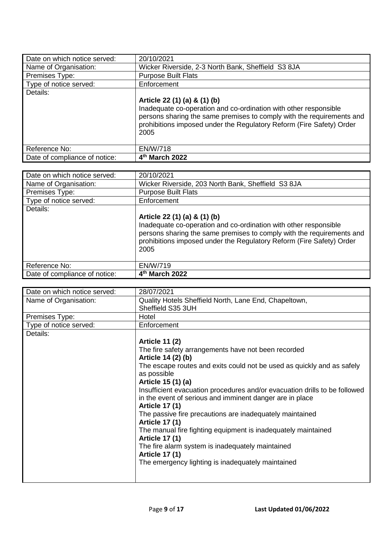| Date on which notice served:  | 20/10/2021                                                                                                                                                                                                                                                |
|-------------------------------|-----------------------------------------------------------------------------------------------------------------------------------------------------------------------------------------------------------------------------------------------------------|
| Name of Organisation:         | Wicker Riverside, 2-3 North Bank, Sheffield S3 8JA                                                                                                                                                                                                        |
| Premises Type:                | <b>Purpose Built Flats</b>                                                                                                                                                                                                                                |
| Type of notice served:        | Enforcement                                                                                                                                                                                                                                               |
| Details:                      |                                                                                                                                                                                                                                                           |
|                               | Article 22 (1) (a) & (1) (b)<br>Inadequate co-operation and co-ordination with other responsible<br>persons sharing the same premises to comply with the requirements and<br>prohibitions imposed under the Regulatory Reform (Fire Safety) Order<br>2005 |
| Reference No:                 | EN/W/718                                                                                                                                                                                                                                                  |
| Date of compliance of notice: | 4 <sup>th</sup> March 2022                                                                                                                                                                                                                                |

| Date on which notice served:  | 20/10/2021                                                                                                                                                                                                                                                |
|-------------------------------|-----------------------------------------------------------------------------------------------------------------------------------------------------------------------------------------------------------------------------------------------------------|
| Name of Organisation:         | Wicker Riverside, 203 North Bank, Sheffield S3 8JA                                                                                                                                                                                                        |
| Premises Type:                | <b>Purpose Built Flats</b>                                                                                                                                                                                                                                |
| Type of notice served:        | Enforcement                                                                                                                                                                                                                                               |
| Details:                      |                                                                                                                                                                                                                                                           |
|                               | Article 22 (1) (a) & (1) (b)<br>Inadequate co-operation and co-ordination with other responsible<br>persons sharing the same premises to comply with the requirements and<br>prohibitions imposed under the Regulatory Reform (Fire Safety) Order<br>2005 |
| Reference No:                 | EN/W/719                                                                                                                                                                                                                                                  |
| Date of compliance of notice: | 4th March 2022                                                                                                                                                                                                                                            |

| Date on which notice served: | 28/07/2021                                                                 |
|------------------------------|----------------------------------------------------------------------------|
| Name of Organisation:        | Quality Hotels Sheffield North, Lane End, Chapeltown,                      |
|                              | Sheffield S35 3UH                                                          |
| Premises Type:               | Hotel                                                                      |
| Type of notice served:       | Enforcement                                                                |
| Details:                     |                                                                            |
|                              | <b>Article 11 (2)</b>                                                      |
|                              | The fire safety arrangements have not been recorded                        |
|                              | Article 14 (2) (b)                                                         |
|                              | The escape routes and exits could not be used as quickly and as safely     |
|                              | as possible                                                                |
|                              | Article 15 (1) (a)                                                         |
|                              | Insufficient evacuation procedures and/or evacuation drills to be followed |
|                              | in the event of serious and imminent danger are in place                   |
|                              | <b>Article 17 (1)</b>                                                      |
|                              | The passive fire precautions are inadequately maintained                   |
|                              | <b>Article 17 (1)</b>                                                      |
|                              | The manual fire fighting equipment is inadequately maintained              |
|                              | <b>Article 17 (1)</b>                                                      |
|                              | The fire alarm system is inadequately maintained                           |
|                              | <b>Article 17 (1)</b>                                                      |
|                              | The emergency lighting is inadequately maintained                          |
|                              |                                                                            |
|                              |                                                                            |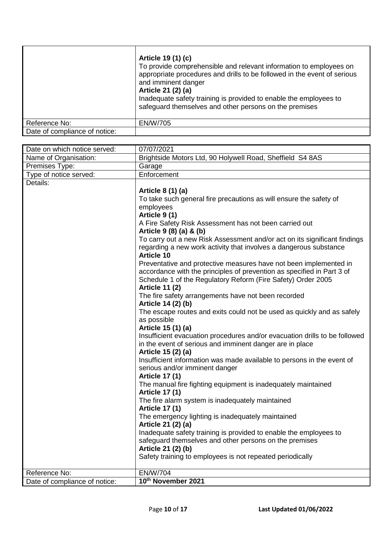|                               | Article 19 (1) (c)<br>To provide comprehensible and relevant information to employees on<br>appropriate procedures and drills to be followed in the event of serious<br>and imminent danger<br>Article 21 (2) (a)<br>Inadequate safety training is provided to enable the employees to<br>safeguard themselves and other persons on the premises |
|-------------------------------|--------------------------------------------------------------------------------------------------------------------------------------------------------------------------------------------------------------------------------------------------------------------------------------------------------------------------------------------------|
| Reference No:                 | EN/W/705                                                                                                                                                                                                                                                                                                                                         |
| Date of compliance of notice: |                                                                                                                                                                                                                                                                                                                                                  |

| Date on which notice served:  | 07/07/2021                                                                             |
|-------------------------------|----------------------------------------------------------------------------------------|
| Name of Organisation:         | Brightside Motors Ltd, 90 Holywell Road, Sheffield S4 8AS                              |
| Premises Type:                | Garage                                                                                 |
| Type of notice served:        | Enforcement                                                                            |
| Details:                      |                                                                                        |
|                               | Article 8 (1) (a)                                                                      |
|                               | To take such general fire precautions as will ensure the safety of                     |
|                               | employees                                                                              |
|                               | Article 9(1)                                                                           |
|                               | A Fire Safety Risk Assessment has not been carried out                                 |
|                               | Article 9 (8) (a) & (b)                                                                |
|                               | To carry out a new Risk Assessment and/or act on its significant findings              |
|                               | regarding a new work activity that involves a dangerous substance<br><b>Article 10</b> |
|                               | Preventative and protective measures have not been implemented in                      |
|                               | accordance with the principles of prevention as specified in Part 3 of                 |
|                               | Schedule 1 of the Regulatory Reform (Fire Safety) Order 2005                           |
|                               | <b>Article 11 (2)</b>                                                                  |
|                               | The fire safety arrangements have not been recorded                                    |
|                               | Article 14 (2) (b)                                                                     |
|                               | The escape routes and exits could not be used as quickly and as safely                 |
|                               | as possible                                                                            |
|                               | Article 15 (1) (a)                                                                     |
|                               | Insufficient evacuation procedures and/or evacuation drills to be followed             |
|                               | in the event of serious and imminent danger are in place<br>Article 15 (2) (a)         |
|                               | Insufficient information was made available to persons in the event of                 |
|                               | serious and/or imminent danger                                                         |
|                               | <b>Article 17 (1)</b>                                                                  |
|                               | The manual fire fighting equipment is inadequately maintained                          |
|                               | <b>Article 17 (1)</b>                                                                  |
|                               | The fire alarm system is inadequately maintained                                       |
|                               | <b>Article 17 (1)</b>                                                                  |
|                               | The emergency lighting is inadequately maintained                                      |
|                               | Article 21 (2) (a)                                                                     |
|                               | Inadequate safety training is provided to enable the employees to                      |
|                               | safeguard themselves and other persons on the premises                                 |
|                               | Article 21 (2) (b)                                                                     |
|                               | Safety training to employees is not repeated periodically                              |
| Reference No:                 | <b>EN/W/704</b>                                                                        |
| Date of compliance of notice: | 10th November 2021                                                                     |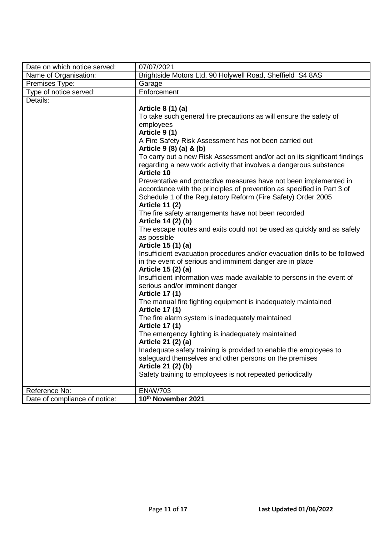| Date on which notice served:  | 07/07/2021                                                                                               |
|-------------------------------|----------------------------------------------------------------------------------------------------------|
| Name of Organisation:         | Brightside Motors Ltd, 90 Holywell Road, Sheffield S4 8AS                                                |
| Premises Type:                | Garage                                                                                                   |
| Type of notice served:        | Enforcement                                                                                              |
| Details:                      |                                                                                                          |
|                               | Article 8 (1) (a)                                                                                        |
|                               | To take such general fire precautions as will ensure the safety of                                       |
|                               | employees                                                                                                |
|                               | Article 9 (1)                                                                                            |
|                               | A Fire Safety Risk Assessment has not been carried out                                                   |
|                               | Article 9 (8) (a) & (b)                                                                                  |
|                               | To carry out a new Risk Assessment and/or act on its significant findings                                |
|                               | regarding a new work activity that involves a dangerous substance<br><b>Article 10</b>                   |
|                               | Preventative and protective measures have not been implemented in                                        |
|                               | accordance with the principles of prevention as specified in Part 3 of                                   |
|                               | Schedule 1 of the Regulatory Reform (Fire Safety) Order 2005                                             |
|                               | <b>Article 11 (2)</b>                                                                                    |
|                               | The fire safety arrangements have not been recorded                                                      |
|                               | Article 14 (2) (b)                                                                                       |
|                               | The escape routes and exits could not be used as quickly and as safely                                   |
|                               | as possible                                                                                              |
|                               | Article 15 (1) (a)                                                                                       |
|                               | Insufficient evacuation procedures and/or evacuation drills to be followed                               |
|                               | in the event of serious and imminent danger are in place                                                 |
|                               | Article 15 (2) (a)                                                                                       |
|                               | Insufficient information was made available to persons in the event of<br>serious and/or imminent danger |
|                               | <b>Article 17 (1)</b>                                                                                    |
|                               | The manual fire fighting equipment is inadequately maintained                                            |
|                               | <b>Article 17 (1)</b>                                                                                    |
|                               | The fire alarm system is inadequately maintained                                                         |
|                               | <b>Article 17 (1)</b>                                                                                    |
|                               | The emergency lighting is inadequately maintained                                                        |
|                               | Article 21 (2) (a)                                                                                       |
|                               | Inadequate safety training is provided to enable the employees to                                        |
|                               | safeguard themselves and other persons on the premises                                                   |
|                               | Article 21 (2) (b)                                                                                       |
|                               | Safety training to employees is not repeated periodically                                                |
| Reference No:                 | EN/W/703                                                                                                 |
| Date of compliance of notice: | 10th November 2021                                                                                       |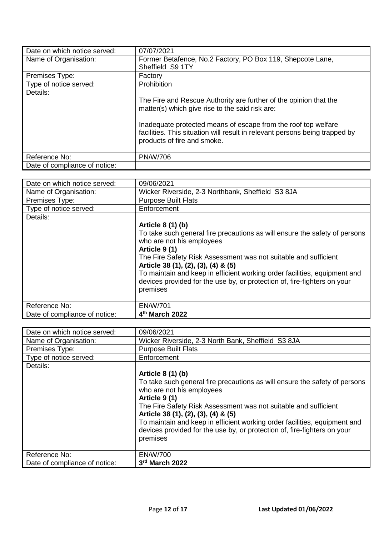| Date on which notice served:  | 07/07/2021                                                                                                                                                                   |
|-------------------------------|------------------------------------------------------------------------------------------------------------------------------------------------------------------------------|
| Name of Organisation:         | Former Betafence, No.2 Factory, PO Box 119, Shepcote Lane,                                                                                                                   |
|                               | Sheffield S9 1TY                                                                                                                                                             |
| Premises Type:                | Factory                                                                                                                                                                      |
| Type of notice served:        | Prohibition                                                                                                                                                                  |
| Details:                      |                                                                                                                                                                              |
|                               | The Fire and Rescue Authority are further of the opinion that the<br>matter(s) which give rise to the said risk are:                                                         |
|                               | Inadequate protected means of escape from the roof top welfare<br>facilities. This situation will result in relevant persons being trapped by<br>products of fire and smoke. |
| Reference No:                 | <b>PN/W/706</b>                                                                                                                                                              |
| Date of compliance of notice: |                                                                                                                                                                              |

| Date on which notice served:  | 09/06/2021                                                                                                                                                                                                                                                                                                                                                                                                                   |
|-------------------------------|------------------------------------------------------------------------------------------------------------------------------------------------------------------------------------------------------------------------------------------------------------------------------------------------------------------------------------------------------------------------------------------------------------------------------|
| Name of Organisation:         | Wicker Riverside, 2-3 Northbank, Sheffield S3 8JA                                                                                                                                                                                                                                                                                                                                                                            |
| Premises Type:                | <b>Purpose Built Flats</b>                                                                                                                                                                                                                                                                                                                                                                                                   |
| Type of notice served:        | Enforcement                                                                                                                                                                                                                                                                                                                                                                                                                  |
| Details:                      | Article 8 (1) (b)<br>To take such general fire precautions as will ensure the safety of persons<br>who are not his employees<br>Article 9 (1)<br>The Fire Safety Risk Assessment was not suitable and sufficient<br>Article 38 (1), (2), (3), (4) & (5)<br>To maintain and keep in efficient working order facilities, equipment and<br>devices provided for the use by, or protection of, fire-fighters on your<br>premises |
|                               |                                                                                                                                                                                                                                                                                                                                                                                                                              |
| Reference No:                 | <b>EN/W/701</b>                                                                                                                                                                                                                                                                                                                                                                                                              |
| Date of compliance of notice: | 4 <sup>th</sup> March 2022                                                                                                                                                                                                                                                                                                                                                                                                   |

| Date on which notice served:  | 09/06/2021                                                                 |
|-------------------------------|----------------------------------------------------------------------------|
| Name of Organisation:         | Wicker Riverside, 2-3 North Bank, Sheffield S3 8JA                         |
| Premises Type:                | <b>Purpose Built Flats</b>                                                 |
| Type of notice served:        | Enforcement                                                                |
| Details:                      |                                                                            |
|                               | Article 8 (1) (b)                                                          |
|                               | To take such general fire precautions as will ensure the safety of persons |
|                               | who are not his employees                                                  |
|                               | Article 9 (1)                                                              |
|                               | The Fire Safety Risk Assessment was not suitable and sufficient            |
|                               | Article 38 (1), (2), (3), (4) & (5)                                        |
|                               | To maintain and keep in efficient working order facilities, equipment and  |
|                               | devices provided for the use by, or protection of, fire-fighters on your   |
|                               | premises                                                                   |
|                               |                                                                            |
| Reference No:                 | EN/W/700                                                                   |
| Date of compliance of notice: | 3rd March 2022                                                             |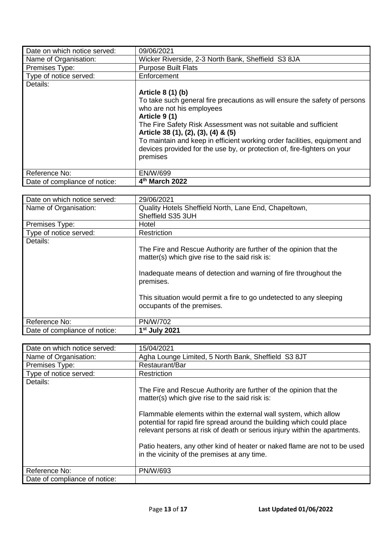| Date on which notice served:  | 09/06/2021                                                                                                                                                                                                                                                                                                                                                                                                                   |
|-------------------------------|------------------------------------------------------------------------------------------------------------------------------------------------------------------------------------------------------------------------------------------------------------------------------------------------------------------------------------------------------------------------------------------------------------------------------|
| Name of Organisation:         | Wicker Riverside, 2-3 North Bank, Sheffield S3 8JA                                                                                                                                                                                                                                                                                                                                                                           |
| Premises Type:                | <b>Purpose Built Flats</b>                                                                                                                                                                                                                                                                                                                                                                                                   |
| Type of notice served:        | Enforcement                                                                                                                                                                                                                                                                                                                                                                                                                  |
| Details:                      | Article 8 (1) (b)<br>To take such general fire precautions as will ensure the safety of persons<br>who are not his employees<br>Article 9 (1)<br>The Fire Safety Risk Assessment was not suitable and sufficient<br>Article 38 (1), (2), (3), (4) & (5)<br>To maintain and keep in efficient working order facilities, equipment and<br>devices provided for the use by, or protection of, fire-fighters on your<br>premises |
| Reference No:                 | <b>EN/W/699</b>                                                                                                                                                                                                                                                                                                                                                                                                              |
| Date of compliance of notice: | 4 <sup>th</sup> March 2022                                                                                                                                                                                                                                                                                                                                                                                                   |

| Date on which notice served:  | 29/06/2021                                                                                                          |
|-------------------------------|---------------------------------------------------------------------------------------------------------------------|
| Name of Organisation:         | Quality Hotels Sheffield North, Lane End, Chapeltown,                                                               |
|                               | Sheffield S35 3UH                                                                                                   |
| Premises Type:                | Hotel                                                                                                               |
| Type of notice served:        | Restriction                                                                                                         |
| Details:                      |                                                                                                                     |
|                               | The Fire and Rescue Authority are further of the opinion that the<br>matter(s) which give rise to the said risk is: |
|                               | Inadequate means of detection and warning of fire throughout the<br>premises.                                       |
|                               | This situation would permit a fire to go undetected to any sleeping<br>occupants of the premises.                   |
| Reference No:                 | <b>PN/W/702</b>                                                                                                     |
| Date of compliance of notice: | $1st$ July 2021                                                                                                     |

| Date on which notice served:  | 15/04/2021                                                                                                                                                                                                             |
|-------------------------------|------------------------------------------------------------------------------------------------------------------------------------------------------------------------------------------------------------------------|
| Name of Organisation:         | Agha Lounge Limited, 5 North Bank, Sheffield S3 8JT                                                                                                                                                                    |
| Premises Type:                | Restaurant/Bar                                                                                                                                                                                                         |
| Type of notice served:        | Restriction                                                                                                                                                                                                            |
| Details:                      |                                                                                                                                                                                                                        |
|                               | The Fire and Rescue Authority are further of the opinion that the<br>matter(s) which give rise to the said risk is:                                                                                                    |
|                               | Flammable elements within the external wall system, which allow<br>potential for rapid fire spread around the building which could place<br>relevant persons at risk of death or serious injury within the apartments. |
|                               | Patio heaters, any other kind of heater or naked flame are not to be used<br>in the vicinity of the premises at any time.                                                                                              |
| Reference No:                 | <b>PN/W/693</b>                                                                                                                                                                                                        |
| Date of compliance of notice: |                                                                                                                                                                                                                        |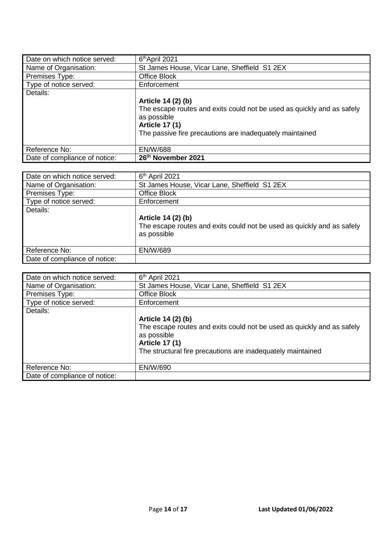| Date on which notice served:  | 6 <sup>th</sup> April 2021                                             |
|-------------------------------|------------------------------------------------------------------------|
| Name of Organisation:         | St James House, Vicar Lane, Sheffield S1 2EX                           |
| Premises Type:                | Office Block                                                           |
| Type of notice served:        | Enforcement                                                            |
| Details:                      |                                                                        |
|                               | Article 14 (2) (b)                                                     |
|                               | The escape routes and exits could not be used as quickly and as safely |
|                               | as possible                                                            |
|                               | <b>Article 17 (1)</b>                                                  |
|                               | The passive fire precautions are inadequately maintained               |
|                               |                                                                        |
| Reference No:                 | <b>EN/W/688</b>                                                        |
| Date of compliance of notice: | 26th November 2021                                                     |

| Date on which notice served:  | 6 <sup>th</sup> April 2021                                             |
|-------------------------------|------------------------------------------------------------------------|
| Name of Organisation:         | St James House, Vicar Lane, Sheffield S1 2EX                           |
| Premises Type:                | Office Block                                                           |
| Type of notice served:        | Enforcement                                                            |
| Details:                      |                                                                        |
|                               | Article 14 (2) (b)                                                     |
|                               | The escape routes and exits could not be used as quickly and as safely |
|                               | as possible                                                            |
|                               |                                                                        |
| Reference No:                 | <b>EN/W/689</b>                                                        |
| Date of compliance of notice: |                                                                        |

| Date on which notice served:  | $6th$ April 2021                                                       |
|-------------------------------|------------------------------------------------------------------------|
| Name of Organisation:         | St James House, Vicar Lane, Sheffield S1 2EX                           |
| Premises Type:                | Office Block                                                           |
| Type of notice served:        | Enforcement                                                            |
| Details:                      |                                                                        |
|                               | Article 14 (2) (b)                                                     |
|                               | The escape routes and exits could not be used as quickly and as safely |
|                               | as possible                                                            |
|                               | <b>Article 17 (1)</b>                                                  |
|                               | The structural fire precautions are inadequately maintained            |
|                               |                                                                        |
| Reference No:                 | EN/W/690                                                               |
| Date of compliance of notice: |                                                                        |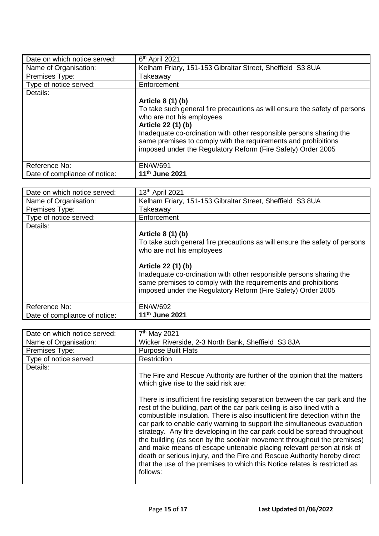| Date on which notice served:  | $6th$ April 2021                                                           |
|-------------------------------|----------------------------------------------------------------------------|
| Name of Organisation:         | Kelham Friary, 151-153 Gibraltar Street, Sheffield S3 8UA                  |
| Premises Type:                | Takeaway                                                                   |
| Type of notice served:        | Enforcement                                                                |
| Details:                      |                                                                            |
|                               | Article 8 (1) (b)                                                          |
|                               | To take such general fire precautions as will ensure the safety of persons |
|                               | who are not his employees                                                  |
|                               | Article 22 (1) (b)                                                         |
|                               | Inadequate co-ordination with other responsible persons sharing the        |
|                               | same premises to comply with the requirements and prohibitions             |
|                               | imposed under the Regulatory Reform (Fire Safety) Order 2005               |
|                               |                                                                            |
| Reference No:                 | EN/W/691                                                                   |
| Date of compliance of notice: | 11 <sup>th</sup> June 2021                                                 |

| Date on which notice served:  | 13th April 2021                                                                                                                       |
|-------------------------------|---------------------------------------------------------------------------------------------------------------------------------------|
| Name of Organisation:         | Kelham Friary, 151-153 Gibraltar Street, Sheffield S3 8UA                                                                             |
| Premises Type:                | Takeaway                                                                                                                              |
| Type of notice served:        | Enforcement                                                                                                                           |
| Details:                      |                                                                                                                                       |
|                               | Article 8 (1) (b)                                                                                                                     |
|                               | To take such general fire precautions as will ensure the safety of persons                                                            |
|                               | who are not his employees                                                                                                             |
|                               |                                                                                                                                       |
|                               | Article 22 (1) (b)                                                                                                                    |
|                               | Inadequate co-ordination with other responsible persons sharing the<br>same premises to comply with the requirements and prohibitions |
|                               | imposed under the Regulatory Reform (Fire Safety) Order 2005                                                                          |
|                               |                                                                                                                                       |
| Reference No:                 | EN/W/692                                                                                                                              |
| Date of compliance of notice: | 11 <sup>th</sup> June 2021                                                                                                            |

| Date on which notice served: | 7 <sup>th</sup> May 2021                                                                                                                                                                                                                                                                                                                                                                                                                                                                                                                                                                                                                                                                                                                                                                                                                       |
|------------------------------|------------------------------------------------------------------------------------------------------------------------------------------------------------------------------------------------------------------------------------------------------------------------------------------------------------------------------------------------------------------------------------------------------------------------------------------------------------------------------------------------------------------------------------------------------------------------------------------------------------------------------------------------------------------------------------------------------------------------------------------------------------------------------------------------------------------------------------------------|
| Name of Organisation:        | Wicker Riverside, 2-3 North Bank, Sheffield S3 8JA                                                                                                                                                                                                                                                                                                                                                                                                                                                                                                                                                                                                                                                                                                                                                                                             |
| Premises Type:               | <b>Purpose Built Flats</b>                                                                                                                                                                                                                                                                                                                                                                                                                                                                                                                                                                                                                                                                                                                                                                                                                     |
| Type of notice served:       | Restriction                                                                                                                                                                                                                                                                                                                                                                                                                                                                                                                                                                                                                                                                                                                                                                                                                                    |
| Details:                     | The Fire and Rescue Authority are further of the opinion that the matters<br>which give rise to the said risk are:<br>There is insufficient fire resisting separation between the car park and the<br>rest of the building, part of the car park ceiling is also lined with a<br>combustible insulation. There is also insufficient fire detection within the<br>car park to enable early warning to support the simultaneous evacuation<br>strategy. Any fire developing in the car park could be spread throughout<br>the building (as seen by the soot/air movement throughout the premises)<br>and make means of escape untenable placing relevant person at risk of<br>death or serious injury, and the Fire and Rescue Authority hereby direct<br>that the use of the premises to which this Notice relates is restricted as<br>follows: |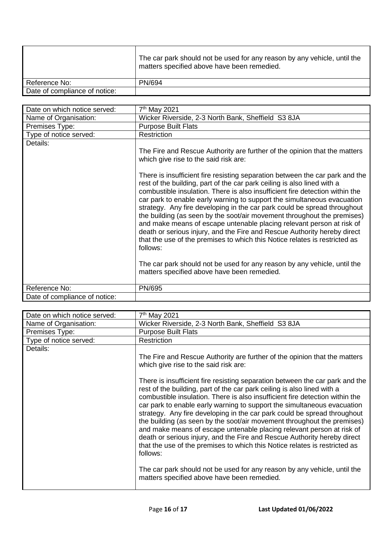|                               | The car park should not be used for any reason by any vehicle, until the<br>matters specified above have been remedied. |
|-------------------------------|-------------------------------------------------------------------------------------------------------------------------|
| Reference No:                 | PN/694                                                                                                                  |
| Date of compliance of notice: |                                                                                                                         |

| Date on which notice served:  | 7 <sup>th</sup> May 2021                                                                                                                                                                                                                                                                                                                                                                                                                                                                                                                                                                                                                                                                                                 |
|-------------------------------|--------------------------------------------------------------------------------------------------------------------------------------------------------------------------------------------------------------------------------------------------------------------------------------------------------------------------------------------------------------------------------------------------------------------------------------------------------------------------------------------------------------------------------------------------------------------------------------------------------------------------------------------------------------------------------------------------------------------------|
| Name of Organisation:         | Wicker Riverside, 2-3 North Bank, Sheffield S3 8JA                                                                                                                                                                                                                                                                                                                                                                                                                                                                                                                                                                                                                                                                       |
| Premises Type:                | <b>Purpose Built Flats</b>                                                                                                                                                                                                                                                                                                                                                                                                                                                                                                                                                                                                                                                                                               |
| Type of notice served:        | <b>Restriction</b>                                                                                                                                                                                                                                                                                                                                                                                                                                                                                                                                                                                                                                                                                                       |
| Details:                      |                                                                                                                                                                                                                                                                                                                                                                                                                                                                                                                                                                                                                                                                                                                          |
|                               | The Fire and Rescue Authority are further of the opinion that the matters<br>which give rise to the said risk are:                                                                                                                                                                                                                                                                                                                                                                                                                                                                                                                                                                                                       |
|                               | There is insufficient fire resisting separation between the car park and the<br>rest of the building, part of the car park ceiling is also lined with a<br>combustible insulation. There is also insufficient fire detection within the<br>car park to enable early warning to support the simultaneous evacuation<br>strategy. Any fire developing in the car park could be spread throughout<br>the building (as seen by the soot/air movement throughout the premises)<br>and make means of escape untenable placing relevant person at risk of<br>death or serious injury, and the Fire and Rescue Authority hereby direct<br>that the use of the premises to which this Notice relates is restricted as<br>follows: |
|                               | The car park should not be used for any reason by any vehicle, until the<br>matters specified above have been remedied.                                                                                                                                                                                                                                                                                                                                                                                                                                                                                                                                                                                                  |
| Reference No:                 | PN/695                                                                                                                                                                                                                                                                                                                                                                                                                                                                                                                                                                                                                                                                                                                   |
| Date of compliance of notice: |                                                                                                                                                                                                                                                                                                                                                                                                                                                                                                                                                                                                                                                                                                                          |

| Date on which notice served: | 7 <sup>th</sup> May 2021                                                                                                                                                                                                                                                                                                                                                                                                                                                                                                                                                                                                                                                                                                 |
|------------------------------|--------------------------------------------------------------------------------------------------------------------------------------------------------------------------------------------------------------------------------------------------------------------------------------------------------------------------------------------------------------------------------------------------------------------------------------------------------------------------------------------------------------------------------------------------------------------------------------------------------------------------------------------------------------------------------------------------------------------------|
| Name of Organisation:        | Wicker Riverside, 2-3 North Bank, Sheffield S3 8JA                                                                                                                                                                                                                                                                                                                                                                                                                                                                                                                                                                                                                                                                       |
| Premises Type:               | <b>Purpose Built Flats</b>                                                                                                                                                                                                                                                                                                                                                                                                                                                                                                                                                                                                                                                                                               |
| Type of notice served:       | Restriction                                                                                                                                                                                                                                                                                                                                                                                                                                                                                                                                                                                                                                                                                                              |
| Details:                     | The Fire and Rescue Authority are further of the opinion that the matters<br>which give rise to the said risk are:                                                                                                                                                                                                                                                                                                                                                                                                                                                                                                                                                                                                       |
|                              | There is insufficient fire resisting separation between the car park and the<br>rest of the building, part of the car park ceiling is also lined with a<br>combustible insulation. There is also insufficient fire detection within the<br>car park to enable early warning to support the simultaneous evacuation<br>strategy. Any fire developing in the car park could be spread throughout<br>the building (as seen by the soot/air movement throughout the premises)<br>and make means of escape untenable placing relevant person at risk of<br>death or serious injury, and the Fire and Rescue Authority hereby direct<br>that the use of the premises to which this Notice relates is restricted as<br>follows: |
|                              | The car park should not be used for any reason by any vehicle, until the<br>matters specified above have been remedied.                                                                                                                                                                                                                                                                                                                                                                                                                                                                                                                                                                                                  |